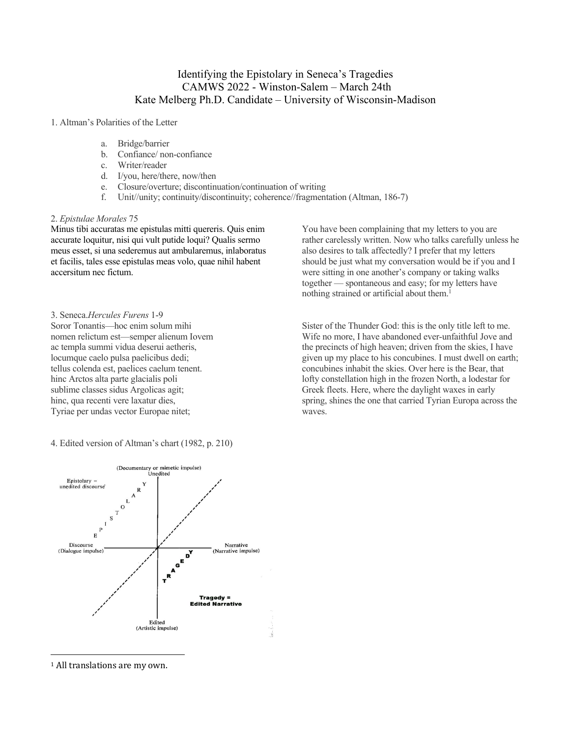# Identifying the Epistolary in Seneca's Tragedies CAMWS 2022 - Winston-Salem – March 24th Kate Melberg Ph.D. Candidate – University of Wisconsin-Madison

### 1. Altman's Polarities of the Letter

- a. Bridge/barrier
- b. Confiance/ non-confiance
- c. Writer/reader
- d. I/you, here/there, now/then
- e. Closure/overture; discontinuation/continuation of writing
- f. Unit//unity; continuity/discontinuity; coherence//fragmentation (Altman, 186-7)

#### 2. *Epistulae Morales* 75

Minus tibi accuratas me epistulas mitti quereris. Quis enim accurate loquitur, nisi qui vult putide loqui? Qualis sermo meus esset, si una sederemus aut ambularemus, inlaboratus et facilis, tales esse epistulas meas volo, quae nihil habent accersitum nec fictum.

### 3. Seneca.*Hercules Furens* 1-9

Soror Tonantis—hoc enim solum mihi nomen relictum est—semper alienum Iovem ac templa summi vidua deserui aetheris, locumque caelo pulsa paelicibus dedi; tellus colenda est, paelices caelum tenent. hinc Arctos alta parte glacialis poli sublime classes sidus Argolicas agit; hinc, qua recenti vere laxatur dies, Tyriae per undas vector Europae nitet;

4. Edited version of Altman's chart (1982, p. 210)



You have been complaining that my letters to you are rather carelessly written. Now who talks carefully unless he also desires to talk affectedly? I prefer that my letters should be just what my conversation would be if you and I were sitting in one another's company or taking walks together — spontaneous and easy; for my letters have nothing strained or artificial about them.<sup>1</sup>

Sister of the Thunder God: this is the only title left to me. Wife no more, I have abandoned ever-unfaithful Jove and the precincts of high heaven; driven from the skies, I have given up my place to his concubines. I must dwell on earth; concubines inhabit the skies. Over here is the Bear, that lofty constellation high in the frozen North, a lodestar for Greek fleets. Here, where the daylight waxes in early spring, shines the one that carried Tyrian Europa across the waves.

 $1$  All translations are my own.